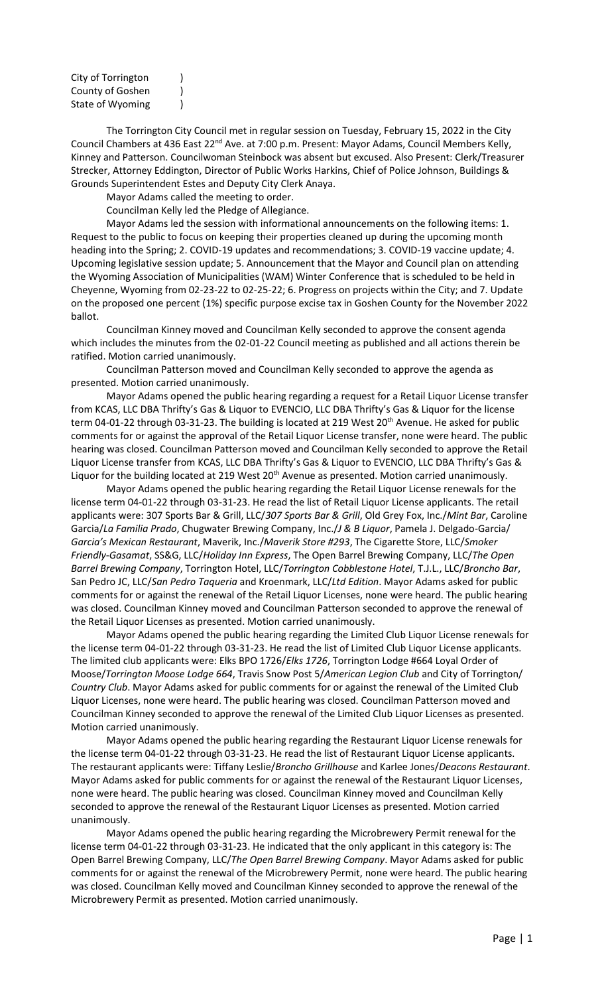| City of Torrington                   |  |
|--------------------------------------|--|
| County of Goshen<br>State of Wyoming |  |
|                                      |  |

The Torrington City Council met in regular session on Tuesday, February 15, 2022 in the City Council Chambers at 436 East 22<sup>nd</sup> Ave. at 7:00 p.m. Present: Mayor Adams, Council Members Kelly, Kinney and Patterson. Councilwoman Steinbock was absent but excused. Also Present: Clerk/Treasurer Strecker, Attorney Eddington, Director of Public Works Harkins, Chief of Police Johnson, Buildings & Grounds Superintendent Estes and Deputy City Clerk Anaya.

Mayor Adams called the meeting to order.

Councilman Kelly led the Pledge of Allegiance.

Mayor Adams led the session with informational announcements on the following items: 1. Request to the public to focus on keeping their properties cleaned up during the upcoming month heading into the Spring; 2. COVID-19 updates and recommendations; 3. COVID-19 vaccine update; 4. Upcoming legislative session update; 5. Announcement that the Mayor and Council plan on attending the Wyoming Association of Municipalities (WAM) Winter Conference that is scheduled to be held in Cheyenne, Wyoming from 02-23-22 to 02-25-22; 6. Progress on projects within the City; and 7. Update on the proposed one percent (1%) specific purpose excise tax in Goshen County for the November 2022 ballot.

Councilman Kinney moved and Councilman Kelly seconded to approve the consent agenda which includes the minutes from the 02-01-22 Council meeting as published and all actions therein be ratified. Motion carried unanimously.

Councilman Patterson moved and Councilman Kelly seconded to approve the agenda as presented. Motion carried unanimously.

Mayor Adams opened the public hearing regarding a request for a Retail Liquor License transfer from KCAS, LLC DBA Thrifty's Gas & Liquor to EVENCIO, LLC DBA Thrifty's Gas & Liquor for the license term 04-01-22 through 03-31-23. The building is located at 219 West 20<sup>th</sup> Avenue. He asked for public comments for or against the approval of the Retail Liquor License transfer, none were heard. The public hearing was closed. Councilman Patterson moved and Councilman Kelly seconded to approve the Retail Liquor License transfer from KCAS, LLC DBA Thrifty's Gas & Liquor to EVENCIO, LLC DBA Thrifty's Gas & Liquor for the building located at 219 West 20<sup>th</sup> Avenue as presented. Motion carried unanimously.

Mayor Adams opened the public hearing regarding the Retail Liquor License renewals for the license term 04-01-22 through 03-31-23. He read the list of Retail Liquor License applicants. The retail applicants were: 307 Sports Bar & Grill, LLC/*307 Sports Bar & Grill*, Old Grey Fox, Inc./*Mint Bar*, Caroline Garcia/*La Familia Prado*, Chugwater Brewing Company, Inc./*J & B Liquor*, Pamela J. Delgado-Garcia/ *Garcia's Mexican Restaurant*, Maverik, Inc./*Maverik Store #293*, The Cigarette Store, LLC/*Smoker Friendly-Gasamat*, SS&G, LLC/*Holiday Inn Express*, The Open Barrel Brewing Company, LLC/*The Open Barrel Brewing Company*, Torrington Hotel, LLC/*Torrington Cobblestone Hotel*, T.J.L., LLC/*Broncho Bar*, San Pedro JC, LLC/*San Pedro Taqueria* and Kroenmark, LLC/*Ltd Edition*. Mayor Adams asked for public comments for or against the renewal of the Retail Liquor Licenses, none were heard. The public hearing was closed. Councilman Kinney moved and Councilman Patterson seconded to approve the renewal of the Retail Liquor Licenses as presented. Motion carried unanimously.

Mayor Adams opened the public hearing regarding the Limited Club Liquor License renewals for the license term 04-01-22 through 03-31-23. He read the list of Limited Club Liquor License applicants. The limited club applicants were: Elks BPO 1726/*Elks 1726*, Torrington Lodge #664 Loyal Order of Moose/*Torrington Moose Lodge 664*, Travis Snow Post 5/*American Legion Club* and City of Torrington/ *Country Club*. Mayor Adams asked for public comments for or against the renewal of the Limited Club Liquor Licenses, none were heard. The public hearing was closed. Councilman Patterson moved and Councilman Kinney seconded to approve the renewal of the Limited Club Liquor Licenses as presented. Motion carried unanimously.

Mayor Adams opened the public hearing regarding the Restaurant Liquor License renewals for the license term 04-01-22 through 03-31-23. He read the list of Restaurant Liquor License applicants. The restaurant applicants were: Tiffany Leslie/*Broncho Grillhouse* and Karlee Jones/*Deacons Restaurant*. Mayor Adams asked for public comments for or against the renewal of the Restaurant Liquor Licenses, none were heard. The public hearing was closed. Councilman Kinney moved and Councilman Kelly seconded to approve the renewal of the Restaurant Liquor Licenses as presented. Motion carried unanimously.

Mayor Adams opened the public hearing regarding the Microbrewery Permit renewal for the license term 04-01-22 through 03-31-23. He indicated that the only applicant in this category is: The Open Barrel Brewing Company, LLC/*The Open Barrel Brewing Company*. Mayor Adams asked for public comments for or against the renewal of the Microbrewery Permit, none were heard. The public hearing was closed. Councilman Kelly moved and Councilman Kinney seconded to approve the renewal of the Microbrewery Permit as presented. Motion carried unanimously.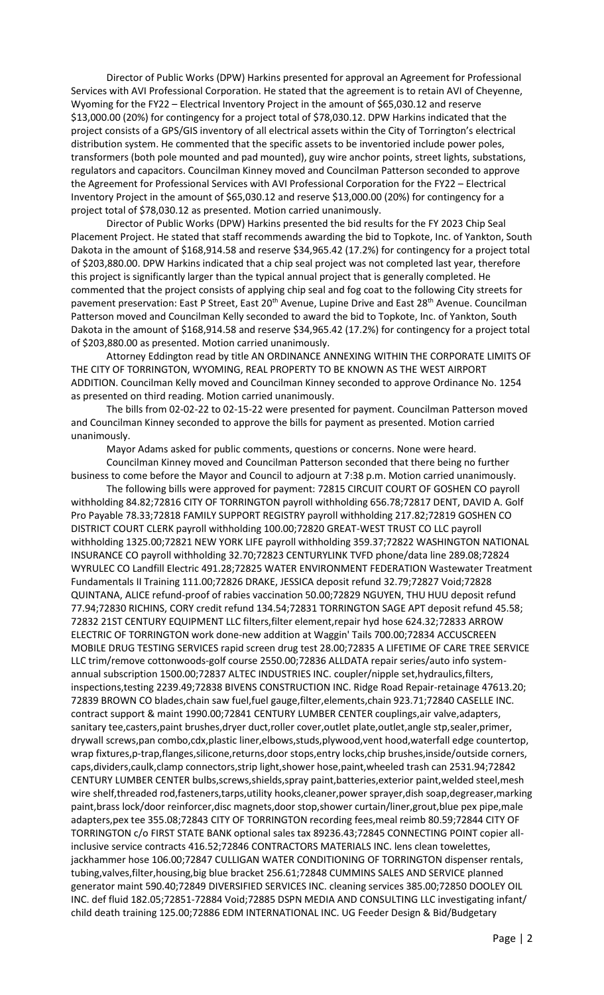Director of Public Works (DPW) Harkins presented for approval an Agreement for Professional Services with AVI Professional Corporation. He stated that the agreement is to retain AVI of Cheyenne, Wyoming for the FY22 – Electrical Inventory Project in the amount of \$65,030.12 and reserve \$13,000.00 (20%) for contingency for a project total of \$78,030.12. DPW Harkins indicated that the project consists of a GPS/GIS inventory of all electrical assets within the City of Torrington's electrical distribution system. He commented that the specific assets to be inventoried include power poles, transformers (both pole mounted and pad mounted), guy wire anchor points, street lights, substations, regulators and capacitors. Councilman Kinney moved and Councilman Patterson seconded to approve the Agreement for Professional Services with AVI Professional Corporation for the FY22 – Electrical Inventory Project in the amount of \$65,030.12 and reserve \$13,000.00 (20%) for contingency for a project total of \$78,030.12 as presented. Motion carried unanimously.

Director of Public Works (DPW) Harkins presented the bid results for the FY 2023 Chip Seal Placement Project. He stated that staff recommends awarding the bid to Topkote, Inc. of Yankton, South Dakota in the amount of \$168,914.58 and reserve \$34,965.42 (17.2%) for contingency for a project total of \$203,880.00. DPW Harkins indicated that a chip seal project was not completed last year, therefore this project is significantly larger than the typical annual project that is generally completed. He commented that the project consists of applying chip seal and fog coat to the following City streets for pavement preservation: East P Street, East 20<sup>th</sup> Avenue, Lupine Drive and East 28<sup>th</sup> Avenue. Councilman Patterson moved and Councilman Kelly seconded to award the bid to Topkote, Inc. of Yankton, South Dakota in the amount of \$168,914.58 and reserve \$34,965.42 (17.2%) for contingency for a project total of \$203,880.00 as presented. Motion carried unanimously.

Attorney Eddington read by title AN ORDINANCE ANNEXING WITHIN THE CORPORATE LIMITS OF THE CITY OF TORRINGTON, WYOMING, REAL PROPERTY TO BE KNOWN AS THE WEST AIRPORT ADDITION. Councilman Kelly moved and Councilman Kinney seconded to approve Ordinance No. 1254 as presented on third reading. Motion carried unanimously.

The bills from 02-02-22 to 02-15-22 were presented for payment. Councilman Patterson moved and Councilman Kinney seconded to approve the bills for payment as presented. Motion carried unanimously.

Mayor Adams asked for public comments, questions or concerns. None were heard. Councilman Kinney moved and Councilman Patterson seconded that there being no further

business to come before the Mayor and Council to adjourn at 7:38 p.m. Motion carried unanimously. The following bills were approved for payment: 72815 CIRCUIT COURT OF GOSHEN CO payroll

withholding 84.82;72816 CITY OF TORRINGTON payroll withholding 656.78;72817 DENT, DAVID A. Golf Pro Payable 78.33;72818 FAMILY SUPPORT REGISTRY payroll withholding 217.82;72819 GOSHEN CO DISTRICT COURT CLERK payroll withholding 100.00;72820 GREAT-WEST TRUST CO LLC payroll withholding 1325.00;72821 NEW YORK LIFE payroll withholding 359.37;72822 WASHINGTON NATIONAL INSURANCE CO payroll withholding 32.70;72823 CENTURYLINK TVFD phone/data line 289.08;72824 WYRULEC CO Landfill Electric 491.28;72825 WATER ENVIRONMENT FEDERATION Wastewater Treatment Fundamentals II Training 111.00;72826 DRAKE, JESSICA deposit refund 32.79;72827 Void;72828 QUINTANA, ALICE refund-proof of rabies vaccination 50.00;72829 NGUYEN, THU HUU deposit refund 77.94;72830 RICHINS, CORY credit refund 134.54;72831 TORRINGTON SAGE APT deposit refund 45.58; 72832 21ST CENTURY EQUIPMENT LLC filters,filter element,repair hyd hose 624.32;72833 ARROW ELECTRIC OF TORRINGTON work done-new addition at Waggin' Tails 700.00;72834 ACCUSCREEN MOBILE DRUG TESTING SERVICES rapid screen drug test 28.00;72835 A LIFETIME OF CARE TREE SERVICE LLC trim/remove cottonwoods-golf course 2550.00;72836 ALLDATA repair series/auto info systemannual subscription 1500.00;72837 ALTEC INDUSTRIES INC. coupler/nipple set,hydraulics,filters, inspections,testing 2239.49;72838 BIVENS CONSTRUCTION INC. Ridge Road Repair-retainage 47613.20; 72839 BROWN CO blades,chain saw fuel,fuel gauge,filter,elements,chain 923.71;72840 CASELLE INC. contract support & maint 1990.00;72841 CENTURY LUMBER CENTER couplings,air valve,adapters, sanitary tee,casters,paint brushes,dryer duct,roller cover,outlet plate,outlet,angle stp,sealer,primer, drywall screws,pan combo,cdx,plastic liner,elbows,studs,plywood,vent hood,waterfall edge countertop, wrap fixtures,p-trap,flanges,silicone,returns,door stops,entry locks,chip brushes,inside/outside corners, caps,dividers,caulk,clamp connectors,strip light,shower hose,paint,wheeled trash can 2531.94;72842 CENTURY LUMBER CENTER bulbs,screws,shields,spray paint,batteries,exterior paint,welded steel,mesh wire shelf,threaded rod,fasteners,tarps,utility hooks,cleaner,power sprayer,dish soap,degreaser,marking paint,brass lock/door reinforcer,disc magnets,door stop,shower curtain/liner,grout,blue pex pipe,male adapters,pex tee 355.08;72843 CITY OF TORRINGTON recording fees,meal reimb 80.59;72844 CITY OF TORRINGTON c/o FIRST STATE BANK optional sales tax 89236.43;72845 CONNECTING POINT copier allinclusive service contracts 416.52;72846 CONTRACTORS MATERIALS INC. lens clean towelettes, jackhammer hose 106.00;72847 CULLIGAN WATER CONDITIONING OF TORRINGTON dispenser rentals, tubing,valves,filter,housing,big blue bracket 256.61;72848 CUMMINS SALES AND SERVICE planned generator maint 590.40;72849 DIVERSIFIED SERVICES INC. cleaning services 385.00;72850 DOOLEY OIL INC. def fluid 182.05;72851-72884 Void;72885 DSPN MEDIA AND CONSULTING LLC investigating infant/ child death training 125.00;72886 EDM INTERNATIONAL INC. UG Feeder Design & Bid/Budgetary